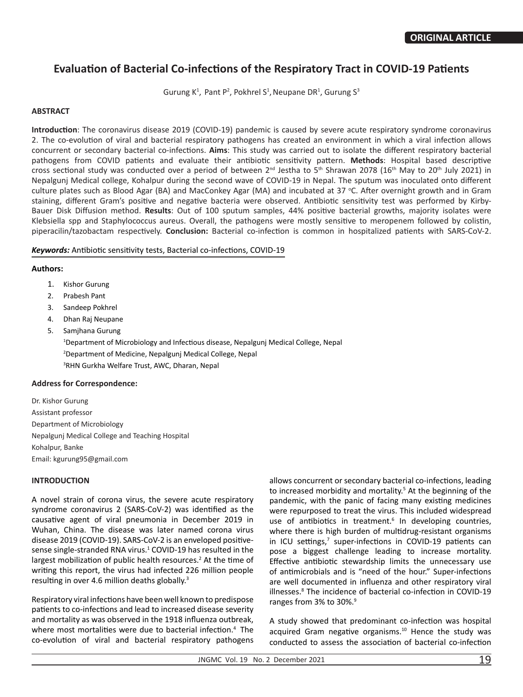# **Evaluation of Bacterial Co-infections of the Respiratory Tract in COVID-19 Patients**

Gurung  $K^1$ , Pant P<sup>2</sup>, Pokhrel S<sup>1</sup>, Neupane DR<sup>1</sup>, Gurung S<sup>3</sup>

# **ABSTRACT**

**Introduction**: The coronavirus disease 2019 (COVID-19) pandemic is caused by severe acute respiratory syndrome coronavirus 2. The co-evolution of viral and bacterial respiratory pathogens has created an environment in which a viral infection allows concurrent or secondary bacterial co-infections. **Aims**: This study was carried out to isolate the different respiratory bacterial pathogens from COVID patients and evaluate their antibiotic sensitivity pattern. **Methods**: Hospital based descriptive cross sectional study was conducted over a period of between 2<sup>nd</sup> Jestha to 5<sup>th</sup> Shrawan 2078 (16<sup>th</sup> May to 20<sup>th</sup> July 2021) in Nepalgunj Medical college, Kohalpur during the second wave of COVID-19 in Nepal. The sputum was inoculated onto different culture plates such as Blood Agar (BA) and MacConkey Agar (MA) and incubated at 37 °C. After overnight growth and in Gram staining, different Gram's positive and negative bacteria were observed. Antibiotic sensitivity test was performed by Kirby-Bauer Disk Diffusion method. **Results**: Out of 100 sputum samples, 44% positive bacterial growths, majority isolates were Klebsiella spp and Staphylococcus aureus. Overall, the pathogens were mostly sensitive to meropenem followed by colistin, piperacilin/tazobactam respectively. **Conclusion:** Bacterial co-infection is common in hospitalized patients with SARS-CoV-2.

# *Keywords:* Antibiotic sensitivity tests, Bacterial co-infections, COVID-19

# **Authors:**

- 1. Kishor Gurung
- 2. Prabesh Pant
- 3. Sandeep Pokhrel
- 4. Dhan Raj Neupane
- 5. Samjhana Gurung

<sup>1</sup>Department of Microbiology and Infectious disease, Nepalgunj Medical College, Nepal 2 Department of Medicine, Nepalgunj Medical College, Nepal 3 RHN Gurkha Welfare Trust, AWC, Dharan, Nepal

#### **Address for Correspondence:**

Dr. Kishor Gurung Assistant professor Department of Microbiology Nepalgunj Medical College and Teaching Hospital Kohalpur, Banke Email: kgurung95@gmail.com

# **INTRODUCTION**

A novel strain of corona virus, the severe acute respiratory syndrome coronavirus 2 (SARS-CoV-2) was identified as the causative agent of viral pneumonia in December 2019 in Wuhan, China. The disease was later named corona virus disease 2019 (COVID-19). SARS-CoV-2 is an enveloped positivesense single-stranded RNA virus.<sup>1</sup> COVID-19 has resulted in the largest mobilization of public health resources.<sup>2</sup> At the time of writing this report, the virus had infected 226 million people resulting in over 4.6 million deaths globally.<sup>3</sup>

Respiratory viral infections have been well known to predispose patients to co-infections and lead to increased disease severity and mortality as was observed in the 1918 influenza outbreak, where most mortalities were due to bacterial infection.<sup>4</sup> The co-evolution of viral and bacterial respiratory pathogens allows concurrent or secondary bacterial co-infections, leading to increased morbidity and mortality.<sup>5</sup> At the beginning of the pandemic, with the panic of facing many existing medicines were repurposed to treat the virus. This included widespread use of antibiotics in treatment.<sup>6</sup> In developing countries, where there is high burden of multidrug-resistant organisms in ICU settings,<sup>7</sup> super-infections in COVID-19 patients can pose a biggest challenge leading to increase mortality. Effective antibiotic stewardship limits the unnecessary use of antimicrobials and is "need of the hour." Super-infections are well documented in influenza and other respiratory viral illnesses.<sup>8</sup> The incidence of bacterial co-infection in COVID-19 ranges from 3% to 30%.<sup>9</sup>

A study showed that predominant co-infection was hospital acquired Gram negative organisms. $10$  Hence the study was conducted to assess the association of bacterial co-infection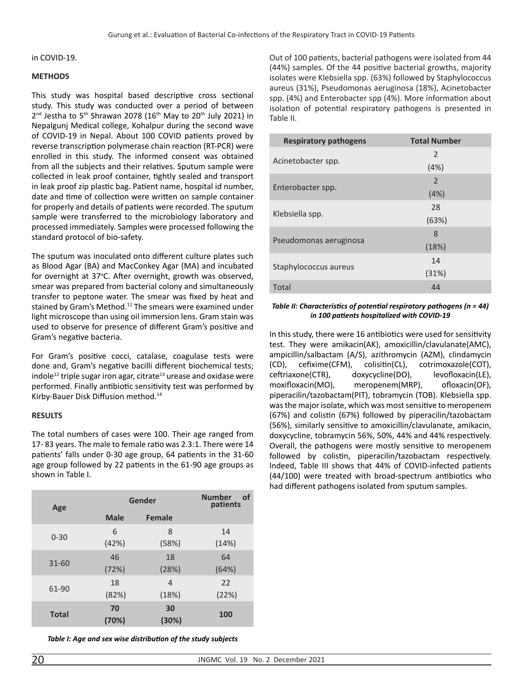#### in COVID-19.

#### **METHODS**

This study was hospital based descriptive cross sectional study. This study was conducted over a period of between  $2<sup>nd</sup>$  Jestha to 5<sup>th</sup> Shrawan 2078 (16<sup>th</sup> May to 20<sup>th</sup> July 2021) in Nepalgunj Medical college, Kohalpur during the second wave of COVID-19 in Nepal. About 100 COVID patients proved by reverse transcription polymerase chain reaction (RT-PCR) were enrolled in this study. The informed consent was obtained from all the subjects and their relatives. Sputum sample were collected in leak proof container, tightly sealed and transport in leak proof zip plastic bag. Patient name, hospital id number, date and time of collection were written on sample container for properly and details of patients were recorded. The sputum sample were transferred to the microbiology laboratory and processed immediately. Samples were processed following the standard protocol of bio-safety.

The sputum was inoculated onto different culture plates such as Blood Agar (BA) and MacConkey Agar (MA) and incubated for overnight at 37°C. After overnight, growth was observed, smear was prepared from bacterial colony and simultaneously transfer to peptone water. The smear was fixed by heat and stained by Gram's Method.<sup>11</sup> The smears were examined under light microscope than using oil immersion lens. Gram stain was used to observe for presence of different Gram's positive and Gram's negative bacteria.

For Gram's positive cocci, catalase, coagulase tests were done and, Gram's negative bacilli different biochemical tests; indole<sup>12</sup> triple sugar iron agar, citrate<sup>13</sup> urease and oxidase were performed. Finally antibiotic sensitivity test was performed by Kirby-Bauer Disk Diffusion method.14

#### **RESULTS**

The total numbers of cases were 100. Their age ranged from 17- 83 years. The male to female ratio was 2.3:1. There were 14 patients' falls under 0-30 age group, 64 patients in the 31-60 age group followed by 22 patients in the 61-90 age groups as shown in Table I.

| Age          | Gender      | <b>Number</b><br>of<br>patients |       |
|--------------|-------------|---------------------------------|-------|
|              | <b>Male</b> | <b>Female</b>                   |       |
| $0 - 30$     | 6           | 8                               | 14    |
|              | (42%)       | (58%)                           | (14%) |
| $31 - 60$    | 46          | 18                              | 64    |
|              | (72%)       | (28%)                           | (64%) |
| 61-90        | 18          | 4                               | 22    |
|              | (82%)       | (18%)                           | (22%) |
| <b>Total</b> | 70<br>(70%) | 30<br>(30%)                     | 100   |

*Table I: Age and sex wise distribution of the study subjects*

Out of 100 patients, bacterial pathogens were isolated from 44 (44%) samples. Of the 44 positive bacterial growths, majority isolates were Klebsiella spp. (63%) followed by Staphylococcus aureus (31%), Pseudomonas aeruginosa (18%), Acinetobacter spp. (4%) and Enterobacter spp (4%). More information about isolation of potential respiratory pathogens is presented in Table II.

| <b>Respiratory pathogens</b> | <b>Total Number</b> |  |  |
|------------------------------|---------------------|--|--|
|                              | 2                   |  |  |
| Acinetobacter spp.           | (4%)                |  |  |
|                              | $\mathcal{P}$       |  |  |
| Enterobacter spp.            | (4%)                |  |  |
|                              | 28                  |  |  |
| Klebsiella spp.              | (63%)               |  |  |
|                              | 8                   |  |  |
| Pseudomonas aeruginosa       | (18%)               |  |  |
|                              | 14                  |  |  |
| Staphylococcus aureus        | (31%)               |  |  |
| Total                        | 44                  |  |  |

#### *Table II: Characteristics of potential respiratory pathogens (n = 44) in 100 patients hospitalized with COVID-19*

In this study, there were 16 antibiotics were used for sensitivity test. They were amikacin(AK), amoxicillin/clavulanate(AMC), ampicillin/salbactam (A/S), azithromycin (AZM), clindamycin (CD), cefixime(CFM), colisitin(CL), cotrimoxazole(COT), ceftriaxone(CTR), doxycycline(DO), levofloxacin(LE), moxifloxacin(MO), meropenem(MRP), ofloxacin(OF), piperacilin/tazobactam(PIT), tobramycin (TOB). Klebsiella spp. was the major isolate, which was most sensitive to meropenem (67%) and colistin (67%) followed by piperacilin/tazobactam (56%), similarly sensitive to amoxicillin/clavulanate, amikacin, doxycycline, tobramycin 56%, 50%, 44% and 44% respectively. Overall, the pathogens were mostly sensitive to meropenem followed by colistin, piperacilin/tazobactam respectively. Indeed, Table III shows that 44% of COVID-infected patients (44/100) were treated with broad-spectrum antibiotics who had different pathogens isolated from sputum samples.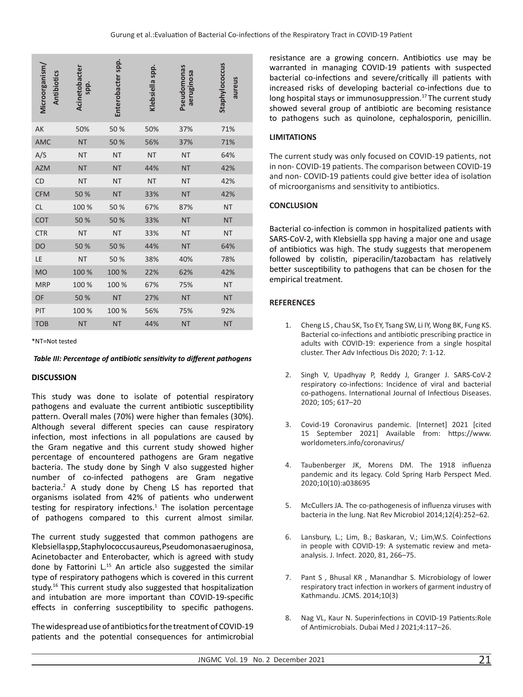| Microorganism/<br><b>Antibiotics</b> | Acinetobacter<br>spp. | Enterobacter spp. | Klebsiella spp. | Pseudomonas<br>aeruginosa | Staphylococcus<br>aureus |
|--------------------------------------|-----------------------|-------------------|-----------------|---------------------------|--------------------------|
| AK                                   | 50%                   | 50 %              | 50%             | 37%                       | 71%                      |
| <b>AMC</b>                           | <b>NT</b>             | 50%               | 56%             | 37%                       | 71%                      |
| A/S                                  | <b>NT</b>             | <b>NT</b>         | <b>NT</b>       | <b>NT</b>                 | 64%                      |
| <b>AZM</b>                           | <b>NT</b>             | <b>NT</b>         | 44%             | <b>NT</b>                 | 42%                      |
| <b>CD</b>                            | <b>NT</b>             | <b>NT</b>         | <b>NT</b>       | <b>NT</b>                 | 42%                      |
| <b>CFM</b>                           | 50 %                  | <b>NT</b>         | 33%             | <b>NT</b>                 | 42%                      |
| CL                                   | 100 %                 | 50 %              | 67%             | 87%                       | <b>NT</b>                |
| COT                                  | 50 %                  | 50%               | 33%             | <b>NT</b>                 | <b>NT</b>                |
| <b>CTR</b>                           | <b>NT</b>             | <b>NT</b>         | 33%             | <b>NT</b>                 | <b>NT</b>                |
| <b>DO</b>                            | 50 %                  | 50 %              | 44%             | <b>NT</b>                 | 64%                      |
| LE                                   | <b>NT</b>             | 50 %              | 38%             | 40%                       | 78%                      |
| <b>MO</b>                            | 100 %                 | 100 %             | 22%             | 62%                       | 42%                      |
| <b>MRP</b>                           | 100 %                 | 100 %             | 67%             | 75%                       | <b>NT</b>                |
| OF                                   | 50 %                  | <b>NT</b>         | 27%             | <b>NT</b>                 | <b>NT</b>                |
| PIT                                  | 100 %                 | 100 %             | 56%             | 75%                       | 92%                      |
| <b>TOB</b>                           | <b>NT</b>             | <b>NT</b>         | 44%             | <b>NT</b>                 | <b>NT</b>                |

\*NT=Not tested

#### *Table III: Percentage of antibiotic sensitivity to different pathogens*

#### **DISCUSSION**

This study was done to isolate of potential respiratory pathogens and evaluate the current antibiotic susceptibility pattern. Overall males (70%) were higher than females (30%). Although several different species can cause respiratory infection, most infections in all populations are caused by the Gram negative and this current study showed higher percentage of encountered pathogens are Gram negative bacteria. The study done by Singh V also suggested higher number of co-infected pathogens are Gram negative bacteria.<sup>2</sup> A study done by Cheng LS has reported that organisms isolated from 42% of patients who underwent testing for respiratory infections. $1$  The isolation percentage of pathogens compared to this current almost similar.

The current study suggested that common pathogens are Klebsiella spp, Staphylococcus aureus, Pseudomonas aeruginosa, Acinetobacter and Enterobacter, which is agreed with study done by Fattorini L.<sup>15</sup> An article also suggested the similar type of respiratory pathogens which is covered in this current study.16 This current study also suggested that hospitalization and intubation are more important than COVID-19-specific effects in conferring susceptibility to specific pathogens.

The widespread use of antibiotics for the treatment of COVID-19 patients and the potential consequences for antimicrobial resistance are a growing concern. Antibiotics use may be warranted in managing COVID-19 patients with suspected bacterial co-infections and severe/critically ill patients with increased risks of developing bacterial co-infections due to long hospital stays or immunosuppression.<sup>17</sup> The current study showed several group of antibiotic are becoming resistance to pathogens such as quinolone, cephalosporin, penicillin.

# **LIMITATIONS**

The current study was only focused on COVID-19 patients, not in non- COVID-19 patients. The comparison between COVID-19 and non- COVID-19 patients could give better idea of isolation of microorganisms and sensitivity to antibiotics.

# **CONCLUSION**

Bacterial co-infection is common in hospitalized patients with SARS-CoV-2, with Klebsiella spp having a major one and usage of antibiotics was high. The study suggests that meropenem followed by colistin, piperacilin/tazobactam has relatively better susceptibility to pathogens that can be chosen for the empirical treatment.

# **REFERENCES**

- 1. Cheng LS , Chau SK, Tso EY, Tsang SW, Li IY, Wong BK, Fung KS. Bacterial co-infections and antibiotic prescribing practice in adults with COVID-19: experience from a single hospital cluster. Ther Adv Infectious Dis 2020; 7: 1-12.
- 2. Singh V, Upadhyay P, Reddy J, Granger J. SARS-CoV-2 respiratory co-infections: Incidence of viral and bacterial co-pathogens. International Journal of Infectious Diseases. 2020; 105; 617–20
- 3. Covid-19 Coronavirus pandemic. [Internet] 2021 [cited 15 September 2021] Available from: https://www. worldometers.info/coronavirus/
- 4. Taubenberger JK, Morens DM. The 1918 influenza pandemic and its legacy. Cold Spring Harb Perspect Med. 2020;10(10):a038695
- 5. McCullers JA. The co-pathogenesis of influenza viruses with bacteria in the lung. Nat Rev Microbiol 2014;12(4):252–62.
- 6. Lansbury, L.; Lim, B.; Baskaran, V.; Lim,W.S. Coinfections in people with COVID-19: A systematic review and metaanalysis. J. Infect. 2020, 81, 266–75.
- 7. Pant S , Bhusal KR , Manandhar S. Microbiology of lower respiratory tract infection in workers of garment industry of Kathmandu. JCMS. 2014;10(3)
- 8. Nag VL, Kaur N. Superinfections in COVID-19 Patients:Role of Antimicrobials. Dubai Med J 2021;4:117–26.